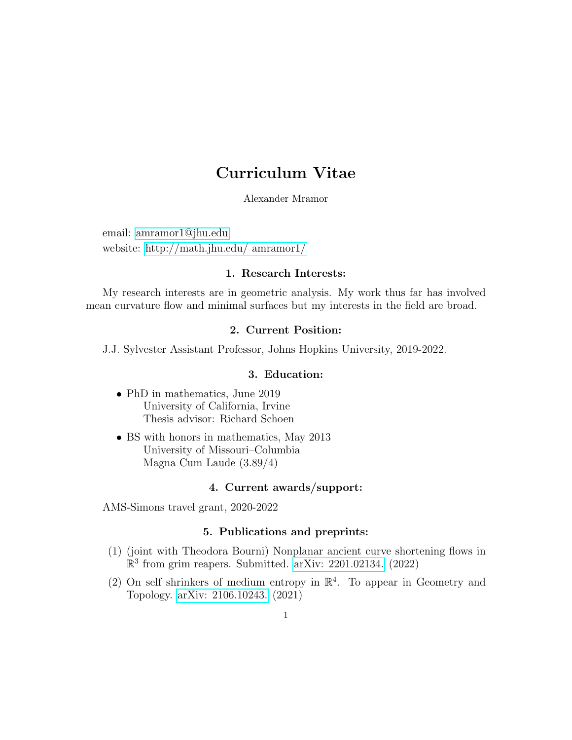# Curriculum Vitae

Alexander Mramor

email: [amramor1@jhu.edu](mailto:amramor1@jhu.edu) website: [http://math.jhu.edu/ amramor1/](http://math.jhu.edu/~amramor1/)

## 1. Research Interests:

My research interests are in geometric analysis. My work thus far has involved mean curvature flow and minimal surfaces but my interests in the field are broad.

## 2. Current Position:

J.J. Sylvester Assistant Professor, Johns Hopkins University, 2019-2022.

#### 3. Education:

- PhD in mathematics, June 2019 University of California, Irvine Thesis advisor: Richard Schoen
- BS with honors in mathematics, May 2013 University of Missouri–Columbia Magna Cum Laude (3.89/4)

## 4. Current awards/support:

AMS-Simons travel grant, 2020-2022

#### 5. Publications and preprints:

- (1) (joint with Theodora Bourni) Nonplanar ancient curve shortening flows in  $\mathbb{R}^3$  from grim reapers. Submitted. [arXiv: 2201.02134.](https://arxiv.org/abs/2201.02134) (2022)
- (2) On self shrinkers of medium entropy in  $\mathbb{R}^4$ . To appear in Geometry and Topology. [arXiv: 2106.10243.](https://arxiv.org/abs/2106.10243) (2021)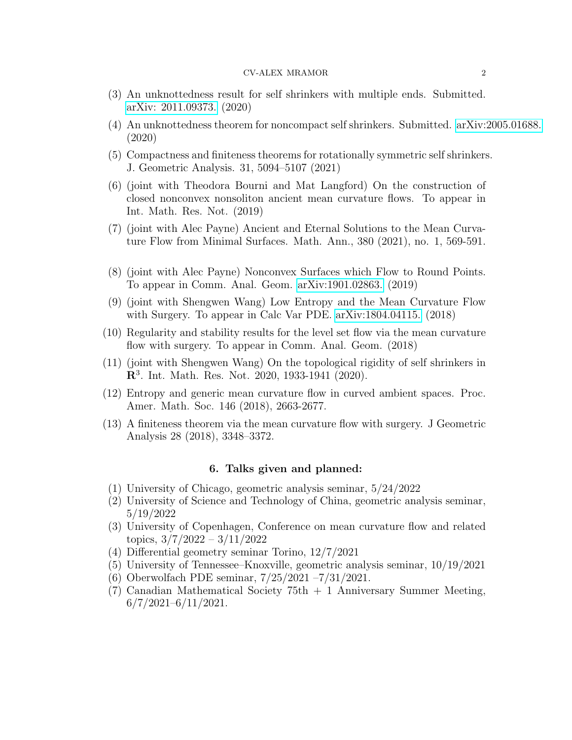- (3) An unknottedness result for self shrinkers with multiple ends. Submitted. [arXiv: 2011.09373.](https://arxiv.org/abs/2011.09373) (2020)
- (4) An unknottedness theorem for noncompact self shrinkers. Submitted. [arXiv:2005.01688.](https://arxiv.org/abs/2005.01688) (2020)
- (5) Compactness and finiteness theorems for rotationally symmetric self shrinkers. J. Geometric Analysis. 31, 5094–5107 (2021)
- (6) (joint with Theodora Bourni and Mat Langford) On the construction of closed nonconvex nonsoliton ancient mean curvature flows. To appear in Int. Math. Res. Not. (2019)
- (7) (joint with Alec Payne) Ancient and Eternal Solutions to the Mean Curvature Flow from Minimal Surfaces. Math. Ann., 380 (2021), no. 1, 569-591.
- (8) (joint with Alec Payne) Nonconvex Surfaces which Flow to Round Points. To appear in Comm. Anal. Geom. [arXiv:1901.02863.](https://arxiv.org/abs/1901.02863) (2019)
- (9) (joint with Shengwen Wang) Low Entropy and the Mean Curvature Flow with Surgery. To appear in Calc Var PDE. [arXiv:1804.04115.](https://arxiv.org/abs/1804.04115) (2018)
- (10) Regularity and stability results for the level set flow via the mean curvature flow with surgery. To appear in Comm. Anal. Geom.  $(2018)$
- (11) (joint with Shengwen Wang) On the topological rigidity of self shrinkers in  $\mathbb{R}^3$ . Int. Math. Res. Not. 2020, 1933-1941 (2020).
- (12) Entropy and generic mean curvature flow in curved ambient spaces. Proc. Amer. Math. Soc. 146 (2018), 2663-2677.
- (13) A finiteness theorem via the mean curvature flow with surgery. J Geometric Analysis 28 (2018), 3348–3372.

#### 6. Talks given and planned:

- (1) University of Chicago, geometric analysis seminar, 5/24/2022
- (2) University of Science and Technology of China, geometric analysis seminar, 5/19/2022
- (3) University of Copenhagen, Conference on mean curvature flow and related topics, 3/7/2022 – 3/11/2022
- (4) Differential geometry seminar Torino, 12/7/2021
- (5) University of Tennessee–Knoxville, geometric analysis seminar, 10/19/2021
- (6) Oberwolfach PDE seminar, 7/25/2021 –7/31/2021.
- (7) Canadian Mathematical Society 75th + 1 Anniversary Summer Meeting,  $6/7/2021 - 6/11/2021$ .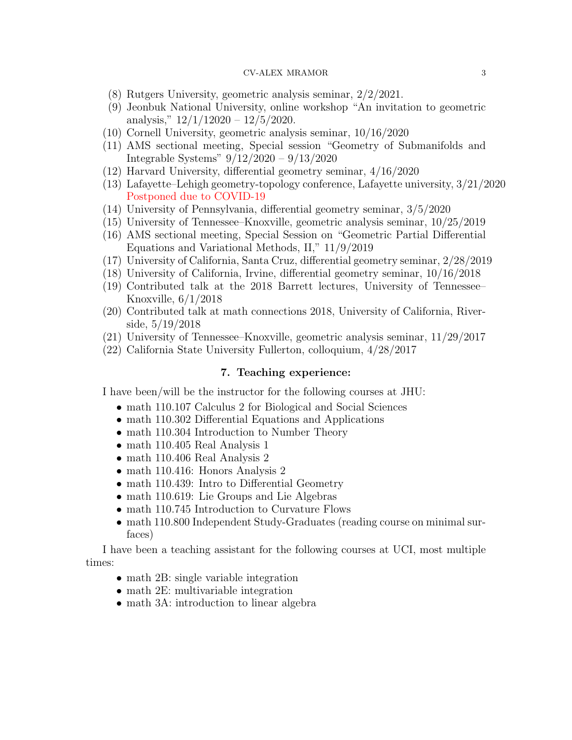- (8) Rutgers University, geometric analysis seminar, 2/2/2021.
- (9) Jeonbuk National University, online workshop "An invitation to geometric analysis,"  $12/1/12020 - 12/5/2020$ .
- (10) Cornell University, geometric analysis seminar, 10/16/2020
- (11) AMS sectional meeting, Special session "Geometry of Submanifolds and Integrable Systems" 9/12/2020 – 9/13/2020
- (12) Harvard University, differential geometry seminar, 4/16/2020
- (13) Lafayette–Lehigh geometry-topology conference, Lafayette university, 3/21/2020 Postponed due to COVID-19
- (14) University of Pennsylvania, differential geometry seminar, 3/5/2020
- (15) University of Tennessee–Knoxville, geometric analysis seminar, 10/25/2019
- (16) AMS sectional meeting, Special Session on "Geometric Partial Differential Equations and Variational Methods, II," 11/9/2019
- (17) University of California, Santa Cruz, differential geometry seminar, 2/28/2019
- (18) University of California, Irvine, differential geometry seminar, 10/16/2018
- (19) Contributed talk at the 2018 Barrett lectures, University of Tennessee– Knoxville, 6/1/2018
- (20) Contributed talk at math connections 2018, University of California, Riverside, 5/19/2018
- (21) University of Tennessee–Knoxville, geometric analysis seminar, 11/29/2017
- (22) California State University Fullerton, colloquium, 4/28/2017

### 7. Teaching experience:

I have been/will be the instructor for the following courses at JHU:

- math 110.107 Calculus 2 for Biological and Social Sciences
- math 110.302 Differential Equations and Applications
- math 110.304 Introduction to Number Theory
- math 110.405 Real Analysis 1
- math 110.406 Real Analysis 2
- math 110.416: Honors Analysis 2
- math 110.439: Intro to Differential Geometry
- math 110.619: Lie Groups and Lie Algebras
- math 110.745 Introduction to Curvature Flows
- math 110.800 Independent Study-Graduates (reading course on minimal surfaces)

I have been a teaching assistant for the following courses at UCI, most multiple times:

- math 2B: single variable integration
- math 2E: multivariable integration
- math 3A: introduction to linear algebra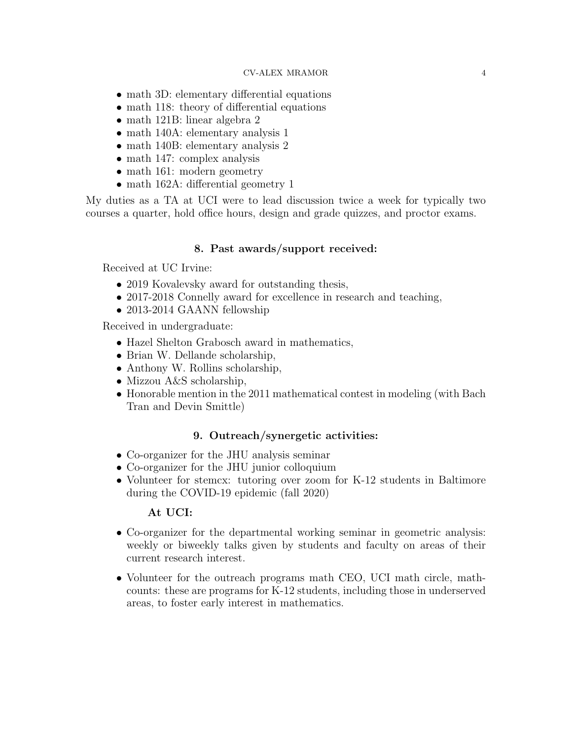- math 3D: elementary differential equations
- math 118: theory of differential equations
- math 121B: linear algebra 2
- math 140A: elementary analysis 1
- math 140B: elementary analysis 2
- math 147: complex analysis
- math 161: modern geometry
- math 162A: differential geometry 1

My duties as a TA at UCI were to lead discussion twice a week for typically two courses a quarter, hold office hours, design and grade quizzes, and proctor exams.

## 8. Past awards/support received:

Received at UC Irvine:

- 2019 Kovalevsky award for outstanding thesis,
- 2017-2018 Connelly award for excellence in research and teaching,
- 2013-2014 GAANN fellowship

Received in undergraduate:

- Hazel Shelton Grabosch award in mathematics,
- Brian W. Dellande scholarship,
- Anthony W. Rollins scholarship,
- Mizzou A&S scholarship,
- Honorable mention in the 2011 mathematical contest in modeling (with Bach Tran and Devin Smittle)

#### 9. Outreach/synergetic activities:

- Co-organizer for the JHU analysis seminar
- Co-organizer for the JHU junior colloquium
- Volunteer for stemcx: tutoring over zoom for K-12 students in Baltimore during the COVID-19 epidemic (fall 2020)

#### At UCI:

- Co-organizer for the departmental working seminar in geometric analysis: weekly or biweekly talks given by students and faculty on areas of their current research interest.
- Volunteer for the outreach programs math CEO, UCI math circle, mathcounts: these are programs for K-12 students, including those in underserved areas, to foster early interest in mathematics.